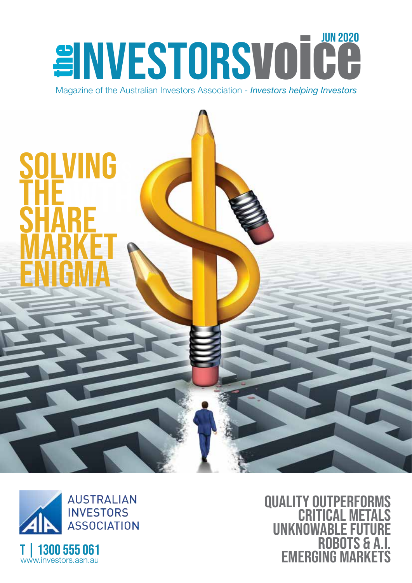## **EINVESTORSVOICE** JUN 2020

Magazine of the Australian Investors Association - *Investors helping Investors*

# **SOLVIN<br>SOLVINE<br>MARKENGMARKE** SOLVING THE THE THE THEFT THE **SHARE** MARKET ENIGMA



**QUALITY OUTPERF** CRITICAL METALS UNKNOWABLE ROBO EMERGING MARKETS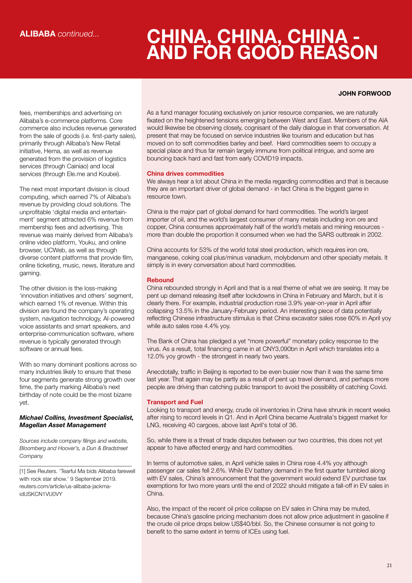## **CHINA, CHINA, CHINA - AND FOR GOOD REASON**

#### **JOHN FORWOOD**

fees, memberships and advertising on Alibaba's e-commerce platforms. Core commerce also includes revenue generated from the sale of goods (i.e. first-party sales), primarily through Alibaba's New Retail initiative, Hema, as well as revenue generated from the provision of logistics services (through Cainiao) and local services (through Ele.me and Koubei).

The next most important division is cloud computing, which earned 7% of Alibaba's revenue by providing cloud solutions. The unprofitable 'digital media and entertainment' segment attracted 6% revenue from membership fees and advertising. This revenue was mainly derived from Alibaba's online video platform, Youku, and online browser, UCWeb, as well as through diverse content platforms that provide film, online ticketing, music, news, literature and gaming.

The other division is the loss-making 'innovation initiatives and others' segment, which earned 1% of revenue. Within this division are found the company's operating system, navigation technology, AI-powered voice assistants and smart speakers, and enterprise-communication software, where revenue is typically generated through software or annual fees.

With so many dominant positions across so many industries likely to ensure that these four segments generate strong growth over time, the party marking Alibaba's next birthday of note could be the most bizarre yet.

#### *Michael Collins, Investment Specialist, Magellan Asset Management*

*Sources include company filings and website, Bloomberg and Hoover's, a Dun & Bradstreet Company.*

\_\_\_\_\_\_\_\_\_\_\_\_\_\_\_\_\_\_\_\_\_\_\_\_\_\_\_\_\_\_\_\_\_\_\_\_

[1] See Reuters. 'Tearful Ma bids Alibaba farewell with rock star show.' 9 September 2019. reuters.com/article/us-alibaba-jackmaidUSKCN1VU0VY

As a fund manager focusing exclusively on junior resource companies, we are naturally fixated on the heightened tensions emerging between West and East. Members of the AIA would likewise be observing closely, cognisant of the daily dialogue in that conversation. At present that may be focused on service industries like tourism and education but has moved on to soft commodities barley and beef. Hard commodities seem to occupy a special place and thus far remain largely immune from political intrigue, and some are bouncing back hard and fast from early COVID19 impacts.

#### China drives commodities

We always hear a lot about China in the media regarding commodities and that is because they are an important driver of global demand - in fact China is the biggest game in resource town.

China is the major part of global demand for hard commodities. The world's largest importer of oil, and the world's largest consumer of many metals including iron ore and copper, China consumes approximately half of the world's metals and mining resources more than double the proportion it consumed when we had the SARS outbreak in 2002.

China accounts for 53% of the world total steel production, which requires iron ore, manganese, coking coal plus/minus vanadium, molybdenum and other specialty metals. It simply is in every conversation about hard commodities.

#### Rebound

China rebounded strongly in April and that is a real theme of what we are seeing. It may be pent up demand releasing itself after lockdowns in China in February and March, but it is clearly there. For example, industrial production rose 3.9% year-on-year in April after collapsing 13.5% in the January-February period. An interesting piece of data potentially reflecting Chinese infrastructure stimulus is that China excavator sales rose 60% in April yoy while auto sales rose 4.4% yoy.

The Bank of China has pledged a yet "more powerful" monetary policy response to the virus. As a result, total financing came in at CNY3,090bn in April which translates into a 12.0% yoy growth - the strongest in nearly two years.

Anecdotally, traffic in Beijing is reported to be even busier now than it was the same time last year. That again may be partly as a result of pent up travel demand, and perhaps more people are driving than catching public transport to avoid the possibility of catching Covid.

#### Transport and Fuel

Looking to transport and energy, crude oil inventories in China have shrunk in recent weeks after rising to record levels in Q1. And in April China became Australia's biggest market for LNG, receiving 40 cargoes, above last April's total of 36.

So, while there is a threat of trade disputes between our two countries, this does not yet appear to have affected energy and hard commodities.

In terms of automotive sales, in April vehicle sales in China rose 4.4% yoy although passenger car sales fell 2.6%. While EV battery demand in the first quarter tumbled along with EV sales, China's announcement that the government would extend EV purchase tax exemptions for two more years until the end of 2022 should mitigate a fall-off in EV sales in China.

Also, the impact of the recent oil price collapse on EV sales in China may be muted, because China's gasoline pricing mechanism does not allow price adjustment in gasoline if the crude oil price drops below US\$40/bbl. So, the Chinese consumer is not going to benefit to the same extent in terms of ICEs using fuel.